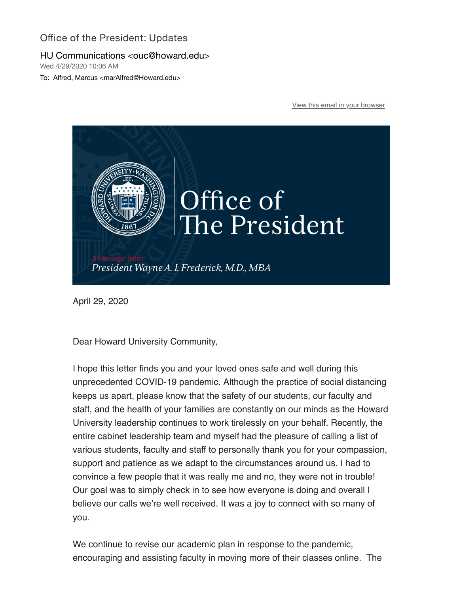## Office of the President: Updates

## HU Communications <ouc@howard.edu>

Wed 4/29/2020 10:06 AM

To: Alfred, Marcus <marAlfred@Howard.edu>

[View this email in your browser](https://nam04.safelinks.protection.outlook.com/?url=https%3A%2F%2Fmailchi.mp%2Fcce907528caa%2Foffice-of-the-president-updates%3Fe%3D0058eb68db&data=02%7C01%7CmarAlfred%40Howard.edu%7C648240a2f4e64044199e08d7ec4681c2%7C02ac0c07b75f46bf9b133630ba94bb69%7C0%7C0%7C637237659881278945&sdata=ZMQBfpIGoHjZCG%2Fz3i8%2BF%2B7uwsaUT%2BsMmN4HIBGVk1g%3D&reserved=0)



April 29, 2020

Dear Howard University Community,

I hope this letter finds you and your loved ones safe and well during this unprecedented COVID-19 pandemic. Although the practice of social distancing keeps us apart, please know that the safety of our students, our faculty and staff, and the health of your families are constantly on our minds as the Howard University leadership continues to work tirelessly on your behalf. Recently, the entire cabinet leadership team and myself had the pleasure of calling a list of various students, faculty and staff to personally thank you for your compassion, support and patience as we adapt to the circumstances around us. I had to convince a few people that it was really me and no, they were not in trouble! Our goal was to simply check in to see how everyone is doing and overall I believe our calls we're well received. It was a joy to connect with so many of you.

We continue to revise our academic plan in response to the pandemic, encouraging and assisting faculty in moving more of their classes online. The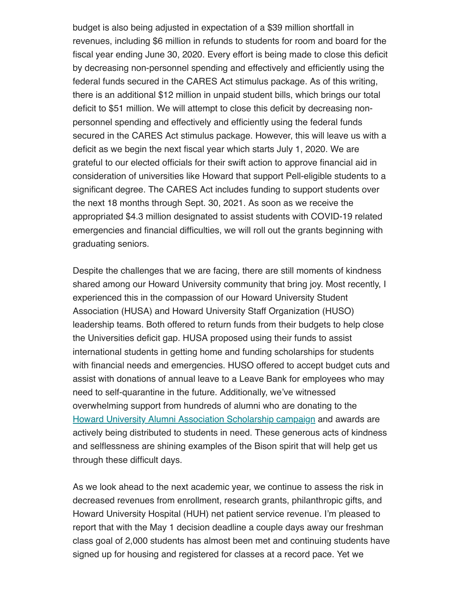budget is also being adjusted in expectation of a \$39 million shortfall in revenues, including \$6 million in refunds to students for room and board for the fiscal year ending June 30, 2020. Every effort is being made to close this deficit by decreasing non-personnel spending and effectively and efficiently using the federal funds secured in the CARES Act stimulus package. As of this writing, there is an additional \$12 million in unpaid student bills, which brings our total deficit to \$51 million. We will attempt to close this deficit by decreasing nonpersonnel spending and effectively and efficiently using the federal funds secured in the CARES Act stimulus package. However, this will leave us with a deficit as we begin the next fiscal year which starts July 1, 2020. We are grateful to our elected officials for their swift action to approve financial aid in consideration of universities like Howard that support Pell-eligible students to a significant degree. The CARES Act includes funding to support students over the next 18 months through Sept. 30, 2021. As soon as we receive the appropriated \$4.3 million designated to assist students with COVID-19 related emergencies and financial difficulties, we will roll out the grants beginning with graduating seniors.

Despite the challenges that we are facing, there are still moments of kindness shared among our Howard University community that bring joy. Most recently, I experienced this in the compassion of our Howard University Student Association (HUSA) and Howard University Staff Organization (HUSO) leadership teams. Both offered to return funds from their budgets to help close the Universities deficit gap. HUSA proposed using their funds to assist international students in getting home and funding scholarships for students with financial needs and emergencies. HUSO offered to accept budget cuts and assist with donations of annual leave to a Leave Bank for employees who may need to self-quarantine in the future. Additionally, we've witnessed overwhelming support from hundreds of alumni who are donating to the [Howard University Alumni Association Scholarship campaign](https://nam04.safelinks.protection.outlook.com/?url=https%3A%2F%2Fhoward.us3.list-manage.com%2Ftrack%2Fclick%3Fu%3Dda96b3e11d604fc7332653c0e%26id%3Da6991510d3%26e%3D0058eb68db&data=02%7C01%7CmarAlfred%40Howard.edu%7C648240a2f4e64044199e08d7ec4681c2%7C02ac0c07b75f46bf9b133630ba94bb69%7C0%7C0%7C637237659881278945&sdata=xDKiBFcclLKdDTQfrDFtpWGko5Lh%2Ff7QavIGZRtKzqE%3D&reserved=0) and awards are actively being distributed to students in need. These generous acts of kindness and selflessness are shining examples of the Bison spirit that will help get us through these difficult days.

As we look ahead to the next academic year, we continue to assess the risk in decreased revenues from enrollment, research grants, philanthropic gifts, and Howard University Hospital (HUH) net patient service revenue. I'm pleased to report that with the May 1 decision deadline a couple days away our freshman class goal of 2,000 students has almost been met and continuing students have signed up for housing and registered for classes at a record pace. Yet we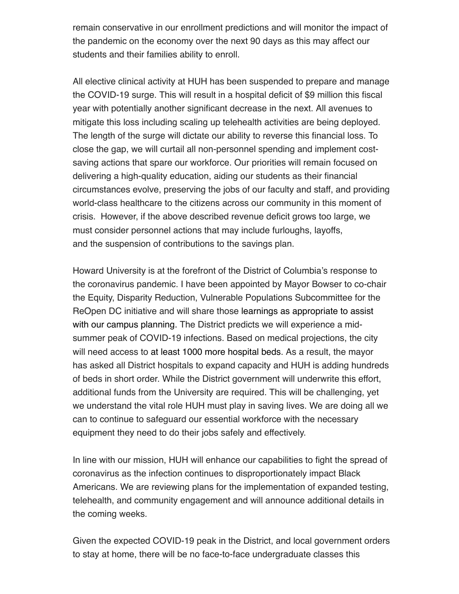remain conservative in our enrollment predictions and will monitor the impact of the pandemic on the economy over the next 90 days as this may affect our students and their families ability to enroll.

All elective clinical activity at HUH has been suspended to prepare and manage the COVID-19 surge. This will result in a hospital deficit of \$9 million this fiscal year with potentially another significant decrease in the next. All avenues to mitigate this loss including scaling up telehealth activities are being deployed. The length of the surge will dictate our ability to reverse this financial loss. To close the gap, we will curtail all non-personnel spending and implement costsaving actions that spare our workforce. Our priorities will remain focused on delivering a high-quality education, aiding our students as their financial circumstances evolve, preserving the jobs of our faculty and staff, and providing world-class healthcare to the citizens across our community in this moment of crisis. However, if the above described revenue deficit grows too large, we must consider personnel actions that may include furloughs, layoffs, and the suspension of contributions to the savings plan.

Howard University is at the forefront of the District of Columbia's response to the coronavirus pandemic. I have been appointed by Mayor Bowser to co-chair the Equity, Disparity Reduction, Vulnerable Populations Subcommittee for the ReOpen DC initiative and will share those learnings as appropriate to assist with our campus planning. The District predicts we will experience a midsummer peak of COVID-19 infections. Based on medical projections, the city will need access to at least 1000 more hospital beds. As a result, the mayor has asked all District hospitals to expand capacity and HUH is adding hundreds of beds in short order. While the District government will underwrite this effort, additional funds from the University are required. This will be challenging, yet we understand the vital role HUH must play in saving lives. We are doing all we can to continue to safeguard our essential workforce with the necessary equipment they need to do their jobs safely and effectively.

In line with our mission, HUH will enhance our capabilities to fight the spread of coronavirus as the infection continues to disproportionately impact Black Americans. We are reviewing plans for the implementation of expanded testing, telehealth, and community engagement and will announce additional details in the coming weeks.

Given the expected COVID-19 peak in the District, and local government orders to stay at home, there will be no face-to-face undergraduate classes this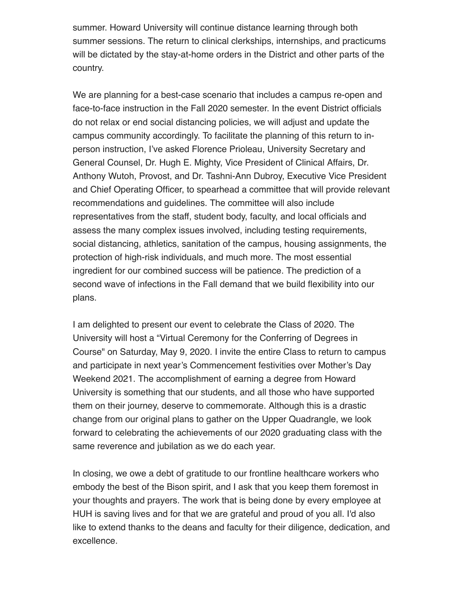summer. Howard University will continue distance learning through both summer sessions. The return to clinical clerkships, internships, and practicums will be dictated by the stay-at-home orders in the District and other parts of the country.

We are planning for a best-case scenario that includes a campus re-open and face-to-face instruction in the Fall 2020 semester. In the event District officials do not relax or end social distancing policies, we will adjust and update the campus community accordingly. To facilitate the planning of this return to inperson instruction, I've asked Florence Prioleau, University Secretary and General Counsel, Dr. Hugh E. Mighty, Vice President of Clinical Affairs, Dr. Anthony Wutoh, Provost, and Dr. Tashni-Ann Dubroy, Executive Vice President and Chief Operating Officer, to spearhead a committee that will provide relevant recommendations and guidelines. The committee will also include representatives from the staff, student body, faculty, and local officials and assess the many complex issues involved, including testing requirements, social distancing, athletics, sanitation of the campus, housing assignments, the protection of high-risk individuals, and much more. The most essential ingredient for our combined success will be patience. The prediction of a second wave of infections in the Fall demand that we build flexibility into our plans.

I am delighted to present our event to celebrate the Class of 2020. The University will host a "Virtual Ceremony for the Conferring of Degrees in Course" on Saturday, May 9, 2020. I invite the entire Class to return to campus and participate in next year's Commencement festivities over Mother's Day Weekend 2021. The accomplishment of earning a degree from Howard University is something that our students, and all those who have supported them on their journey, deserve to commemorate. Although this is a drastic change from our original plans to gather on the Upper Quadrangle, we look forward to celebrating the achievements of our 2020 graduating class with the same reverence and jubilation as we do each year.

In closing, we owe a debt of gratitude to our frontline healthcare workers who embody the best of the Bison spirit, and I ask that you keep them foremost in your thoughts and prayers. The work that is being done by every employee at HUH is saving lives and for that we are grateful and proud of you all. I'd also like to extend thanks to the deans and faculty for their diligence, dedication, and excellence.